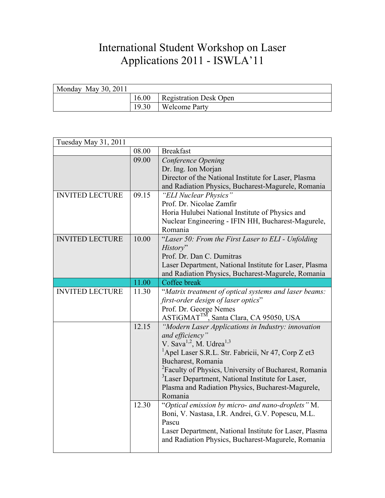## International Student Workshop on Laser Applications 2011 - ISWLA'11

| Monday May 30, $2011$ |       |                        |
|-----------------------|-------|------------------------|
|                       | 16.00 | Registration Desk Open |
|                       | 19.30 | <b>Welcome Party</b>   |

| Tuesday May 31, 2011   |       |                                                                   |
|------------------------|-------|-------------------------------------------------------------------|
|                        | 08.00 | <b>Breakfast</b>                                                  |
|                        | 09.00 | Conference Opening                                                |
|                        |       | Dr. Ing. Ion Morjan                                               |
|                        |       | Director of the National Institute for Laser, Plasma              |
|                        |       | and Radiation Physics, Bucharest-Magurele, Romania                |
| <b>INVITED LECTURE</b> | 09.15 | "ELI Nuclear Physics"                                             |
|                        |       | Prof. Dr. Nicolae Zamfir                                          |
|                        |       | Horia Hulubei National Institute of Physics and                   |
|                        |       | Nuclear Engineering - IFIN HH, Bucharest-Magurele,                |
|                        |       | Romania                                                           |
| <b>INVITED LECTURE</b> | 10.00 | "Laser 50: From the First Laser to ELI - Unfolding                |
|                        |       | History"                                                          |
|                        |       | Prof. Dr. Dan C. Dumitras                                         |
|                        |       | Laser Department, National Institute for Laser, Plasma            |
|                        |       | and Radiation Physics, Bucharest-Magurele, Romania                |
|                        | 11.00 | Coffee break                                                      |
| <b>INVITED LECTURE</b> | 11.30 | "Matrix treatment of optical systems and laser beams:             |
|                        |       | first-order design of laser optics"                               |
|                        |       | Prof. Dr. George Nemes<br>ASTiGMAT™, Santa Clara, CA 95050, USA   |
|                        |       |                                                                   |
|                        | 12.15 | "Modern Laser Applications in Industry: innovation                |
|                        |       | and efficiency"                                                   |
|                        |       | V. Sava <sup>1,2</sup> , M. Udrea <sup>1,3</sup>                  |
|                        |       | <sup>1</sup> Apel Laser S.R.L. Str. Fabricii, Nr 47, Corp Z et3   |
|                        |       | Bucharest, Romania                                                |
|                        |       | <sup>2</sup> Faculty of Physics, University of Bucharest, Romania |
|                        |       |                                                                   |
|                        |       | <sup>3</sup> Laser Department, National Institute for Laser,      |
|                        |       | Plasma and Radiation Physics, Bucharest-Magurele,                 |
|                        |       | Romania                                                           |
|                        | 12.30 | "Optical emission by micro- and nano-droplets" M.                 |
|                        |       | Boni, V. Nastasa, I.R. Andrei, G.V. Popescu, M.L.                 |
|                        |       | Pascu                                                             |
|                        |       | Laser Department, National Institute for Laser, Plasma            |
|                        |       | and Radiation Physics, Bucharest-Magurele, Romania                |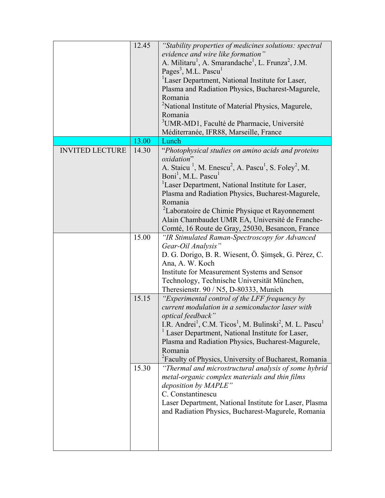|                        | 12.45 | "Stability properties of medicines solutions: spectral                                                   |
|------------------------|-------|----------------------------------------------------------------------------------------------------------|
|                        |       | evidence and wire like formation"                                                                        |
|                        |       | A. Militaru <sup>1</sup> , A. Smarandache <sup>1</sup> , L. Frunza <sup>2</sup> , J.M.                   |
|                        |       | Pages <sup>3</sup> , M.L. Pascu <sup>1</sup>                                                             |
|                        |       | <sup>1</sup> Laser Department, National Institute for Laser,                                             |
|                        |       | Plasma and Radiation Physics, Bucharest-Magurele,                                                        |
|                        |       | Romania                                                                                                  |
|                        |       | <sup>2</sup> National Institute of Material Physics, Magurele,                                           |
|                        |       | Romania                                                                                                  |
|                        |       | <sup>3</sup> UMR-MD1, Faculté de Pharmacie, Université                                                   |
|                        |       | Méditerranée, IFR88, Marseille, France                                                                   |
|                        | 13.00 | Lunch                                                                                                    |
| <b>INVITED LECTURE</b> |       |                                                                                                          |
|                        | 14.30 | "Photophysical studies on amino acids and proteins"<br>oxidation"                                        |
|                        |       |                                                                                                          |
|                        |       | A. Staicu <sup>1</sup> , M. Enescu <sup>2</sup> , A. Pascu <sup>1</sup> , S. Foley <sup>2</sup> , M.     |
|                        |       | Boni <sup>1</sup> , M.L. Pascu <sup>1</sup>                                                              |
|                        |       | <sup>1</sup> Laser Department, National Institute for Laser,                                             |
|                        |       | Plasma and Radiation Physics, Bucharest-Magurele,                                                        |
|                        |       | Romania                                                                                                  |
|                        |       | <sup>2</sup> Laboratoire de Chimie Physique et Rayonnement                                               |
|                        |       | Alain Chambaudet UMR EA, Université de Franche-                                                          |
|                        |       | Comté, 16 Route de Gray, 25030, Besancon, France                                                         |
|                        | 15.00 | "IR Stimulated Raman-Spectroscopy for Advanced                                                           |
|                        |       | Gear-Oil Analysis"                                                                                       |
|                        |       | D. G. Dorigo, B. R. Wiesent, Ö. Şimşek, G. Pérez, C.                                                     |
|                        |       | Ana, A. W. Koch                                                                                          |
|                        |       | Institute for Measurement Systems and Sensor                                                             |
|                        |       | Technology, Technische Universität München,                                                              |
|                        |       | There signstr. $90 / N5$ , D-80333, Munich                                                               |
|                        | 15.15 | "Experimental control of the LFF frequency by                                                            |
|                        |       | current modulation in a semiconductor laser with                                                         |
|                        |       | optical feedback"                                                                                        |
|                        |       | I.R. Andrei <sup>1</sup> , C.M. Ticos <sup>1</sup> , M. Bulinski <sup>2</sup> , M. L. Pascu <sup>1</sup> |
|                        |       | <sup>1</sup> Laser Department, National Institute for Laser,                                             |
|                        |       | Plasma and Radiation Physics, Bucharest-Magurele,                                                        |
|                        |       | Romania                                                                                                  |
|                        |       | <sup>2</sup> Faculty of Physics, University of Bucharest, Romania                                        |
|                        | 15.30 | "Thermal and microstructural analysis of some hybrid                                                     |
|                        |       |                                                                                                          |
|                        |       | metal-organic complex materials and thin films<br>deposition by MAPLE"                                   |
|                        |       | C. Constantinescu                                                                                        |
|                        |       |                                                                                                          |
|                        |       | Laser Department, National Institute for Laser, Plasma                                                   |
|                        |       | and Radiation Physics, Bucharest-Magurele, Romania                                                       |
|                        |       |                                                                                                          |
|                        |       |                                                                                                          |
|                        |       |                                                                                                          |
|                        |       |                                                                                                          |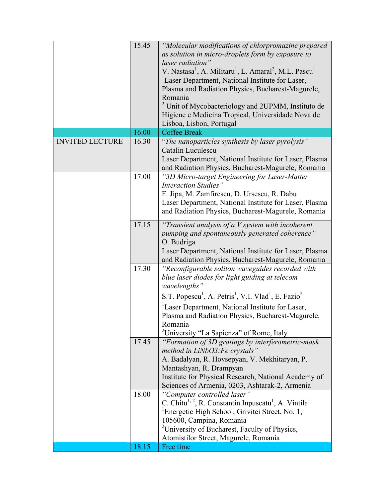|                        | 15.45 | "Molecular modifications of chlorpromazine prepared                                                   |
|------------------------|-------|-------------------------------------------------------------------------------------------------------|
|                        |       | as solution in micro-droplets form by exposure to                                                     |
|                        |       | laser radiation"                                                                                      |
|                        |       | V. Nastasa <sup>1</sup> , A. Militaru <sup>1</sup> , L. Amaral <sup>2</sup> , M.L. Pascu <sup>1</sup> |
|                        |       | <sup>1</sup> Laser Department, National Institute for Laser,                                          |
|                        |       |                                                                                                       |
|                        |       | Plasma and Radiation Physics, Bucharest-Magurele,                                                     |
|                        |       | Romania                                                                                               |
|                        |       | <sup>2</sup> Unit of Mycobacteriology and 2UPMM, Instituto de                                         |
|                        |       | Higiene e Medicina Tropical, Universidade Nova de                                                     |
|                        |       | Lisboa, Lisbon, Portugal                                                                              |
|                        | 16.00 | <b>Coffee Break</b>                                                                                   |
| <b>INVITED LECTURE</b> | 16.30 | "The nanoparticles synthesis by laser pyrolysis"                                                      |
|                        |       | Catalin Luculescu                                                                                     |
|                        |       | Laser Department, National Institute for Laser, Plasma                                                |
|                        |       | and Radiation Physics, Bucharest-Magurele, Romania                                                    |
|                        | 17.00 | "3D Micro-target Engineering for Laser-Matter                                                         |
|                        |       | <b>Interaction Studies</b> "                                                                          |
|                        |       | F. Jipa, M. Zamfirescu, D. Ursescu, R. Dabu                                                           |
|                        |       | Laser Department, National Institute for Laser, Plasma                                                |
|                        |       | and Radiation Physics, Bucharest-Magurele, Romania                                                    |
|                        |       |                                                                                                       |
|                        | 17.15 | "Transient analysis of a $V$ system with incoherent                                                   |
|                        |       | pumping and spontaneously generated coherence"                                                        |
|                        |       | O. Budriga                                                                                            |
|                        |       | Laser Department, National Institute for Laser, Plasma                                                |
|                        |       | and Radiation Physics, Bucharest-Magurele, Romania                                                    |
|                        | 17.30 | "Reconfigurable soliton waveguides recorded with                                                      |
|                        |       | blue laser diodes for light guiding at telecom                                                        |
|                        |       | wavelengths"                                                                                          |
|                        |       | S.T. Popescu <sup>1</sup> , A. Petris <sup>1</sup> , V.I. Vlad <sup>1</sup> , E. Fazio <sup>2</sup>   |
|                        |       | <sup>1</sup> Laser Department, National Institute for Laser,                                          |
|                        |       | Plasma and Radiation Physics, Bucharest-Magurele,                                                     |
|                        |       | Romania                                                                                               |
|                        |       | <sup>2</sup> University "La Sapienza" of Rome, Italy                                                  |
|                        | 17.45 | "Formation of 3D gratings by interferometric-mask                                                     |
|                        |       | method in LiNbO3: Fe crystals"                                                                        |
|                        |       | A. Badalyan, R. Hovsepyan, V. Mekhitaryan, P.                                                         |
|                        |       | Mantashyan, R. Drampyan                                                                               |
|                        |       | Institute for Physical Research, National Academy of                                                  |
|                        |       |                                                                                                       |
|                        |       | Sciences of Armenia, 0203, Ashtarak-2, Armenia                                                        |
|                        | 18.00 | "Computer controlled laser"                                                                           |
|                        |       | C. Chitu <sup>1, 2</sup> , R. Constantin Inpuscatu <sup>1</sup> , A. Vintila <sup>1</sup>             |
|                        |       | <sup>1</sup> Energetic High School, Grivitei Street, No. 1,                                           |
|                        |       | 105600, Campina, Romania                                                                              |
|                        |       | <sup>2</sup> University of Bucharest, Faculty of Physics,                                             |
|                        |       | Atomistilor Street, Magurele, Romania                                                                 |
|                        | 18.15 | Free time                                                                                             |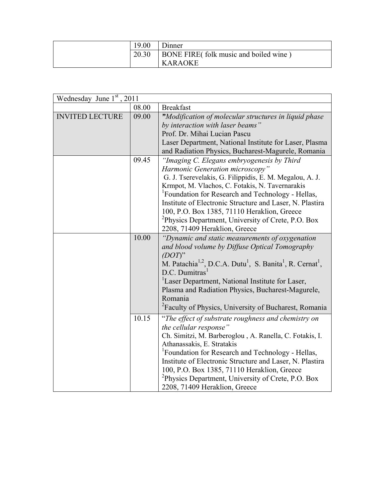| 19.00 | Jinner                                |
|-------|---------------------------------------|
| 20.30 | BONE FIRE(folk music and boiled wine) |
|       | <b>KARAOKE</b>                        |

| Wednesday June $1st$ , 2011 |       |                                                                                                                                                                                                                                                                                                                                                                                                                                                                            |
|-----------------------------|-------|----------------------------------------------------------------------------------------------------------------------------------------------------------------------------------------------------------------------------------------------------------------------------------------------------------------------------------------------------------------------------------------------------------------------------------------------------------------------------|
|                             | 08.00 | <b>Breakfast</b>                                                                                                                                                                                                                                                                                                                                                                                                                                                           |
| <b>INVITED LECTURE</b>      | 09.00 | "Modification of molecular structures in liquid phase<br>by interaction with laser beams"<br>Prof. Dr. Mihai Lucian Pascu<br>Laser Department, National Institute for Laser, Plasma<br>and Radiation Physics, Bucharest-Magurele, Romania                                                                                                                                                                                                                                  |
|                             | 09.45 | "Imaging C. Elegans embryogenesis by Third<br>Harmonic Generation microscopy"<br>G. J. Tserevelakis, G. Filippidis, E. M. Megalou, A. J.<br>Krmpot, M. Vlachos, C. Fotakis, N. Tavernarakis<br><sup>1</sup> Foundation for Research and Technology - Hellas,<br>Institute of Electronic Structure and Laser, N. Plastira<br>100, P.O. Box 1385, 71110 Heraklion, Greece<br><sup>2</sup> Physics Department, University of Crete, P.O. Box<br>2208, 71409 Heraklion, Greece |
|                             | 10.00 | "Dynamic and static measurements of oxygenation<br>and blood volume by Diffuse Optical Tomography<br>$(DOT)$ "<br>M. Patachia <sup>1,2</sup> , D.C.A. Dutu <sup>1</sup> , S. Banita <sup>1</sup> , R. Cernat <sup>1</sup> ,<br>D.C. Dumitras <sup>1</sup><br><sup>1</sup> Laser Department, National Institute for Laser,<br>Plasma and Radiation Physics, Bucharest-Magurele,<br>Romania<br><sup>2</sup> Faculty of Physics, University of Bucharest, Romania             |
|                             | 10.15 | "The effect of substrate roughness and chemistry on<br>the cellular response"<br>Ch. Simitzi, M. Barberoglou, A. Ranella, C. Fotakis, I.<br>Athanassakis, E. Stratakis<br><sup>1</sup> Foundation for Research and Technology - Hellas,<br>Institute of Electronic Structure and Laser, N. Plastira<br>100, P.O. Box 1385, 71110 Heraklion, Greece<br><sup>2</sup> Physics Department, University of Crete, P.O. Box<br>2208, 71409 Heraklion, Greece                      |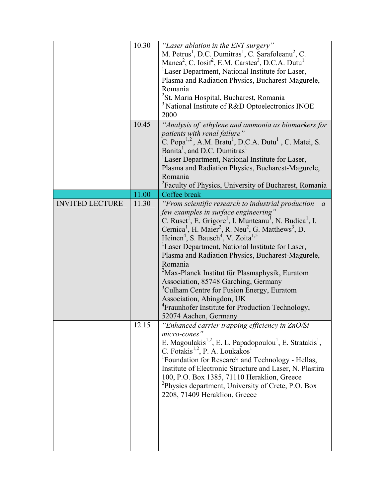|                        | 10.30<br>10.45 | "Laser ablation in the ENT surgery"<br>M. Petrus <sup>1</sup> , D.C. Dumitras <sup>1</sup> , C. Sarafoleanu <sup>2</sup> , C.<br>Manea <sup>2</sup> , C. Iosif <sup>2</sup> , E.M. Carstea <sup>3</sup> , D.C.A. Dutu <sup>1</sup><br><sup>1</sup> Laser Department, National Institute for Laser,<br>Plasma and Radiation Physics, Bucharest-Magurele,<br>Romania<br><sup>2</sup> St. Maria Hospital, Bucharest, Romania<br><sup>3</sup> National Institute of R&D Optoelectronics INOE<br>2000<br>"Analysis of ethylene and ammonia as biomarkers for                                                                                                                                                                                                                                                          |
|------------------------|----------------|------------------------------------------------------------------------------------------------------------------------------------------------------------------------------------------------------------------------------------------------------------------------------------------------------------------------------------------------------------------------------------------------------------------------------------------------------------------------------------------------------------------------------------------------------------------------------------------------------------------------------------------------------------------------------------------------------------------------------------------------------------------------------------------------------------------|
|                        |                | patients with renal failure"<br>C. Popa <sup>1,2</sup> , A.M. Bratu <sup>1</sup> , D.C.A. Dutu <sup>1</sup> , C. Matei, S.<br>Banita <sup>1</sup> , and D.C. Dumitras <sup>1</sup><br><sup>1</sup> Laser Department, National Institute for Laser,<br>Plasma and Radiation Physics, Bucharest-Magurele,<br>Romania<br><sup>2</sup> Faculty of Physics, University of Bucharest, Romania                                                                                                                                                                                                                                                                                                                                                                                                                          |
|                        | 11.00          | Coffee break                                                                                                                                                                                                                                                                                                                                                                                                                                                                                                                                                                                                                                                                                                                                                                                                     |
| <b>INVITED LECTURE</b> | 11.30          | "From scientific research to industrial production $-a$<br>few examples in surface engineering"<br>C. Ruset <sup>1</sup> , E. Grigore <sup>1</sup> , I. Munteanu <sup>1</sup> , N. Budica <sup>1</sup> , I.<br>Cernica <sup>1</sup> , H. Maier <sup>2</sup> , R. Neu <sup>2</sup> , G. Matthews <sup>3</sup> , D.<br>Heinen <sup>4</sup> , S. Bausch <sup>4</sup> , V. Zoita <sup>1,5</sup><br><sup>1</sup> Laser Department, National Institute for Laser,<br>Plasma and Radiation Physics, Bucharest-Magurele,<br>Romania<br><sup>2</sup> Max-Planck Institut für Plasmaphysik, Euratom<br>Association, 85748 Garching, Germany<br><sup>3</sup> Culham Centre for Fusion Energy, Euratom<br>Association, Abingdon, UK<br><sup>4</sup> Fraunhofer Institute for Production Technology,<br>52074 Aachen, Germany |
|                        | 12.15          | "Enhanced carrier trapping efficiency in ZnO/Si<br>micro-cones"<br>E. Magoulakis <sup>1,2</sup> , E. L. Papadopoulou <sup>1</sup> , E. Stratakis <sup>1</sup> ,<br>C. Fotakis <sup>1,2</sup> , P. A. Loukakos <sup>1</sup><br><sup>1</sup> Foundation for Research and Technology - Hellas,<br>Institute of Electronic Structure and Laser, N. Plastira<br>100, P.O. Box 1385, 71110 Heraklion, Greece<br><sup>2</sup> Physics department, University of Crete, P.O. Box<br>2208, 71409 Heraklion, Greece                                                                                                                                                                                                                                                                                                        |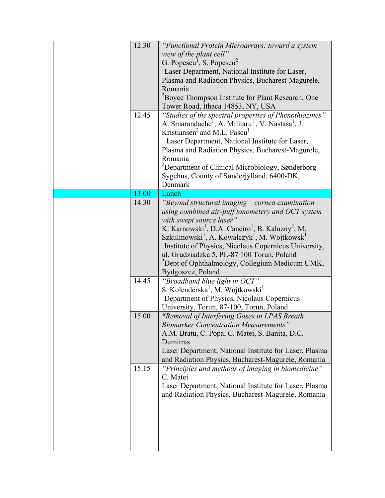| 12.30<br>12.45 | "Functional Protein Microarrays: toward a system<br>view of the plant cell"<br>G. Popescu <sup>1</sup> , S. Popescu <sup>2</sup><br><sup>1</sup> Laser Department, National Institute for Laser,<br>Plasma and Radiation Physics, Bucharest-Magurele,<br>Romania<br><sup>2</sup> Boyce Thompson Institute for Plant Research, One<br>Tower Road, Ithaca 14853, NY, USA<br>"Studies of the spectral properties of Phenothiazines"<br>A. Smarandache <sup>1</sup> , A. Militaru <sup>1</sup> , V. Nastasa <sup>1</sup> , J.<br>Kristiansen <sup>2</sup> and M.L. Pascu <sup>1</sup><br><sup>1</sup> Laser Department, National Institute for Laser,<br>Plasma and Radiation Physics, Bucharest-Magurele,<br>Romania |
|----------------|-------------------------------------------------------------------------------------------------------------------------------------------------------------------------------------------------------------------------------------------------------------------------------------------------------------------------------------------------------------------------------------------------------------------------------------------------------------------------------------------------------------------------------------------------------------------------------------------------------------------------------------------------------------------------------------------------------------------|
|                | <sup>2</sup> Department of Clinical Microbiology, Sønderborg<br>Sygehus, County of Sønderjylland, 6400-DK,<br>Denmark                                                                                                                                                                                                                                                                                                                                                                                                                                                                                                                                                                                             |
| 13.00          | Lunch                                                                                                                                                                                                                                                                                                                                                                                                                                                                                                                                                                                                                                                                                                             |
| 14.30          | "Beyond structural imaging – cornea examination<br>using combined air-puff tonometery and OCT system<br>with swept source laser"<br>K. Karnowski <sup>1</sup> , D.A. Caneiro <sup>1</sup> , B. Kaluzny <sup>2</sup> , M.<br>Szkulmowski <sup>1</sup> , A. Kowalczyk <sup>1</sup> , M. Wojtkowsk <sup>1</sup><br><sup>1</sup> Institute of Physics, Nicolaus Copernicus University,<br>ul. Grudziadzka 5, PL-87 100 Torun, Poland<br><sup>2</sup> Dept of Ophthalmology, Collegium Medicum UMK,<br>Bydgoszcz, Poland                                                                                                                                                                                               |
| 14.45          | "Broadband blue light in OCT"<br>S. Kolenderska <sup>1</sup> , M. Wojtkowski <sup>1</sup><br><sup>1</sup> Department of Physics, Nicolaus Copernicus<br>University, Torun, 87-100, Torun, Poland                                                                                                                                                                                                                                                                                                                                                                                                                                                                                                                  |
| 15.00          | "Removal of Interfering Gases in LPAS Breath<br><b>Biomarker Concentration Measurements</b><br>A.M. Bratu, C. Popa, C. Matei, S. Banita, D.C.<br>Dumitras<br>Laser Department, National Institute for Laser, Plasma<br>and Radiation Physics, Bucharest-Magurele, Romania                                                                                                                                                                                                                                                                                                                                                                                                                                         |
| 15.15          | "Principles and methods of imaging in biomedicine"<br>C. Matei<br>Laser Department, National Institute for Laser, Plasma<br>and Radiation Physics, Bucharest-Magurele, Romania                                                                                                                                                                                                                                                                                                                                                                                                                                                                                                                                    |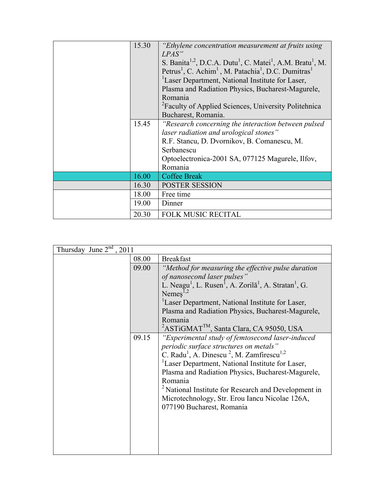| 15.30 | "Ethylene concentration measurement at fruits using<br>LPAS"<br>S. Banita <sup>1,2</sup> , D.C.A. Dutu <sup>1</sup> , C. Matei <sup>1</sup> , A.M. Bratu <sup>1</sup> , M.<br>Petrus <sup>1</sup> , C. Achim <sup>1</sup> , M. Patachia <sup>1</sup> , D.C. Dumitras <sup>1</sup><br><sup>1</sup> Laser Department, National Institute for Laser,<br>Plasma and Radiation Physics, Bucharest-Magurele,<br>Romania |
|-------|-------------------------------------------------------------------------------------------------------------------------------------------------------------------------------------------------------------------------------------------------------------------------------------------------------------------------------------------------------------------------------------------------------------------|
|       | <sup>2</sup> Faculty of Applied Sciences, University Politehnica<br>Bucharest, Romania.                                                                                                                                                                                                                                                                                                                           |
| 15.45 | "Research concerning the interaction between pulsed<br>laser radiation and urological stones"<br>R.F. Stancu, D. Dvornikov, B. Comanescu, M.<br>Serbanescu<br>Optoelectronica-2001 SA, 077125 Magurele, Ilfov,<br>Romania                                                                                                                                                                                         |
| 16.00 | <b>Coffee Break</b>                                                                                                                                                                                                                                                                                                                                                                                               |
| 16.30 | POSTER SESSION                                                                                                                                                                                                                                                                                                                                                                                                    |
| 18.00 | Free time                                                                                                                                                                                                                                                                                                                                                                                                         |
| 19.00 | Dinner                                                                                                                                                                                                                                                                                                                                                                                                            |
| 20.30 | <b>FOLK MUSIC RECITAL</b>                                                                                                                                                                                                                                                                                                                                                                                         |

| Thursday June $2nd$<br>, 2011 |       |                                                                                                       |
|-------------------------------|-------|-------------------------------------------------------------------------------------------------------|
|                               | 08.00 | <b>Breakfast</b>                                                                                      |
|                               | 09.00 | "Method for measuring the effective pulse duration                                                    |
|                               |       | of nanosecond laser pulses"                                                                           |
|                               |       | L. Neagu <sup>1</sup> , L. Rusen <sup>1</sup> , A. Zorilă <sup>1</sup> , A. Stratan <sup>1</sup> , G. |
|                               |       | Nemes $^{1,2}$                                                                                        |
|                               |       | Laser Department, National Institute for Laser,                                                       |
|                               |       | Plasma and Radiation Physics, Bucharest-Magurele,                                                     |
|                               |       | Romania                                                                                               |
|                               |       | <sup>2</sup> ASTiGMAT <sup>TM</sup> , Santa Clara, CA 95050, USA                                      |
|                               | 09.15 | "Experimental study of femtosecond laser-induced                                                      |
|                               |       | periodic surface structures on metals"                                                                |
|                               |       | C. Radu <sup>1</sup> , A. Dinescu <sup>2</sup> , M. Zamfirescu <sup>1,2</sup>                         |
|                               |       | <sup>1</sup> Laser Department, National Institute for Laser,                                          |
|                               |       | Plasma and Radiation Physics, Bucharest-Magurele,                                                     |
|                               |       | Romania                                                                                               |
|                               |       | <sup>2</sup> National Institute for Research and Development in                                       |
|                               |       | Microtechnology, Str. Erou Iancu Nicolae 126A,                                                        |
|                               |       | 077190 Bucharest, Romania                                                                             |
|                               |       |                                                                                                       |
|                               |       |                                                                                                       |
|                               |       |                                                                                                       |
|                               |       |                                                                                                       |
|                               |       |                                                                                                       |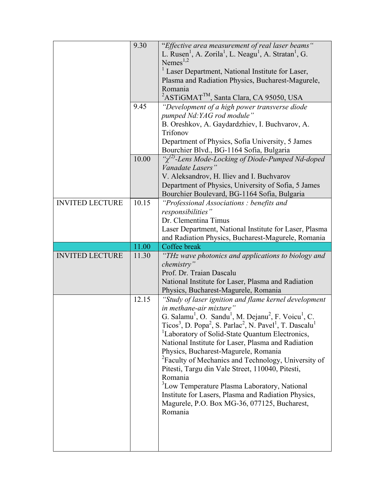|                        | 9.30  | "Effective area measurement of real laser beams"<br>L. Rusen <sup>1</sup> , A. Zorila <sup>1</sup> , L. Neagu <sup>1</sup> , A. Stratan <sup>1</sup> , G.<br>Nemes $^{1,2}$<br><sup>1</sup> Laser Department, National Institute for Laser,<br>Plasma and Radiation Physics, Bucharest-Magurele,<br>Romania<br><sup>2</sup> ASTIGMAT <sup>TM</sup> , Santa Clara, CA 95050, USA |
|------------------------|-------|---------------------------------------------------------------------------------------------------------------------------------------------------------------------------------------------------------------------------------------------------------------------------------------------------------------------------------------------------------------------------------|
|                        | 9.45  | "Development of a high power transverse diode<br>pumped Nd: YAG rod module"<br>B. Oreshkov, A. Gaydardzhiev, I. Buchvarov, A.<br>Trifonov<br>Department of Physics, Sofia University, 5 James<br>Bourchier Blvd., BG-1164 Sofia, Bulgaria                                                                                                                                       |
|                        | 10.00 | " $\chi^{(2)}$ -Lens Mode-Locking of Diode-Pumped Nd-doped<br>Vanadate Lasers"<br>V. Aleksandrov, H. Iliev and I. Buchvarov<br>Department of Physics, University of Sofia, 5 James<br>Bourchier Boulevard, BG-1164 Sofia, Bulgaria                                                                                                                                              |
| <b>INVITED LECTURE</b> | 10.15 | "Professional Associations: benefits and<br>responsibilities"<br>Dr. Clementina Timus<br>Laser Department, National Institute for Laser, Plasma<br>and Radiation Physics, Bucharest-Magurele, Romania                                                                                                                                                                           |
|                        | 11.00 | Coffee break                                                                                                                                                                                                                                                                                                                                                                    |
|                        |       |                                                                                                                                                                                                                                                                                                                                                                                 |
| <b>INVITED LECTURE</b> | 11.30 | "THz wave photonics and applications to biology and<br>chemistry"<br>Prof. Dr. Traian Dascalu<br>National Institute for Laser, Plasma and Radiation<br>Physics, Bucharest-Magurele, Romania                                                                                                                                                                                     |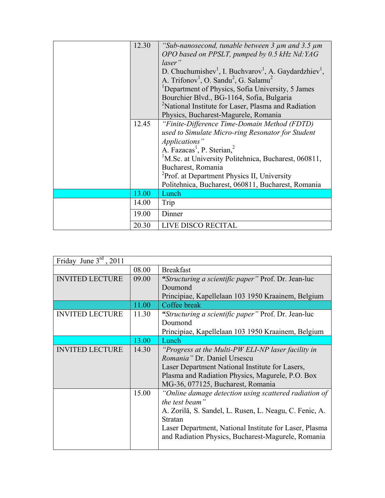| 12.30 | "Sub-nanosecond, tunable between $\frac{3}{3}$ $\mu$ m and $\frac{3}{5}$ $\mu$ m<br>OPO based on PPSLT, pumped by 0.5 kHz Nd:YAG<br>laser"<br>D. Chuchumishev <sup>1</sup> , I. Buchvarov <sup>1</sup> , A. Gaydardzhiev <sup>1</sup> ,<br>A. Trifonov <sup>1</sup> , O. Sandu <sup>2</sup> , G. Salamu <sup>2</sup><br><sup>1</sup> Department of Physics, Sofia University, 5 James<br>Bourchier Blvd., BG-1164, Sofia, Bulgaria<br><sup>2</sup> National Institute for Laser, Plasma and Radiation |
|-------|-------------------------------------------------------------------------------------------------------------------------------------------------------------------------------------------------------------------------------------------------------------------------------------------------------------------------------------------------------------------------------------------------------------------------------------------------------------------------------------------------------|
|       | Physics, Bucharest-Magurele, Romania                                                                                                                                                                                                                                                                                                                                                                                                                                                                  |
| 12.45 | "Finite-Difference Time-Domain Method (FDTD)                                                                                                                                                                                                                                                                                                                                                                                                                                                          |
|       | used to Simulate Micro-ring Resonator for Student                                                                                                                                                                                                                                                                                                                                                                                                                                                     |
|       | Applications"                                                                                                                                                                                                                                                                                                                                                                                                                                                                                         |
|       | A. Fazacas <sup>1</sup> , P. Sterian, <sup>2</sup>                                                                                                                                                                                                                                                                                                                                                                                                                                                    |
|       | <sup>1</sup> M.Sc. at University Politehnica, Bucharest, 060811,                                                                                                                                                                                                                                                                                                                                                                                                                                      |
|       | Bucharest, Romania                                                                                                                                                                                                                                                                                                                                                                                                                                                                                    |
|       | <sup>2</sup> Prof. at Department Physics II, University                                                                                                                                                                                                                                                                                                                                                                                                                                               |
|       | Politehnica, Bucharest, 060811, Bucharest, Romania                                                                                                                                                                                                                                                                                                                                                                                                                                                    |
| 13.00 | Lunch                                                                                                                                                                                                                                                                                                                                                                                                                                                                                                 |
| 14.00 | Trip                                                                                                                                                                                                                                                                                                                                                                                                                                                                                                  |
| 19.00 | Dinner                                                                                                                                                                                                                                                                                                                                                                                                                                                                                                |
| 20.30 | LIVE DISCO RECITAL                                                                                                                                                                                                                                                                                                                                                                                                                                                                                    |

| Friday June $3^{rd}$ , 2011 |       |                                                            |
|-----------------------------|-------|------------------------------------------------------------|
|                             | 08.00 | <b>Breakfast</b>                                           |
| <b>INVITED LECTURE</b>      | 09.00 | <i>"Structuring a scientific paper"</i> Prof. Dr. Jean-luc |
|                             |       | Doumond                                                    |
|                             |       | Principiae, Kapellelaan 103 1950 Kraainem, Belgium         |
|                             | 11.00 | Coffee break                                               |
| <b>INVITED LECTURE</b>      | 11.30 | "Structuring a scientific paper" Prof. Dr. Jean-luc        |
|                             |       | Doumond                                                    |
|                             |       | Principiae, Kapellelaan 103 1950 Kraainem, Belgium         |
|                             | 13.00 | Lunch                                                      |
| <b>INVITED LECTURE</b>      | 14.30 | "Progress at the Multi-PW ELI-NP laser facility in         |
|                             |       | Romania" Dr. Daniel Ursescu                                |
|                             |       | Laser Department National Institute for Lasers,            |
|                             |       | Plasma and Radiation Physics, Magurele, P.O. Box           |
|                             |       | MG-36, 077125, Bucharest, Romania                          |
|                             | 15.00 | "Online damage detection using scattered radiation of      |
|                             |       | the test beam"                                             |
|                             |       | A. Zorilă, S. Sandel, L. Rusen, L. Neagu, C. Fenic, A.     |
|                             |       | Stratan                                                    |
|                             |       | Laser Department, National Institute for Laser, Plasma     |
|                             |       | and Radiation Physics, Bucharest-Magurele, Romania         |
|                             |       |                                                            |